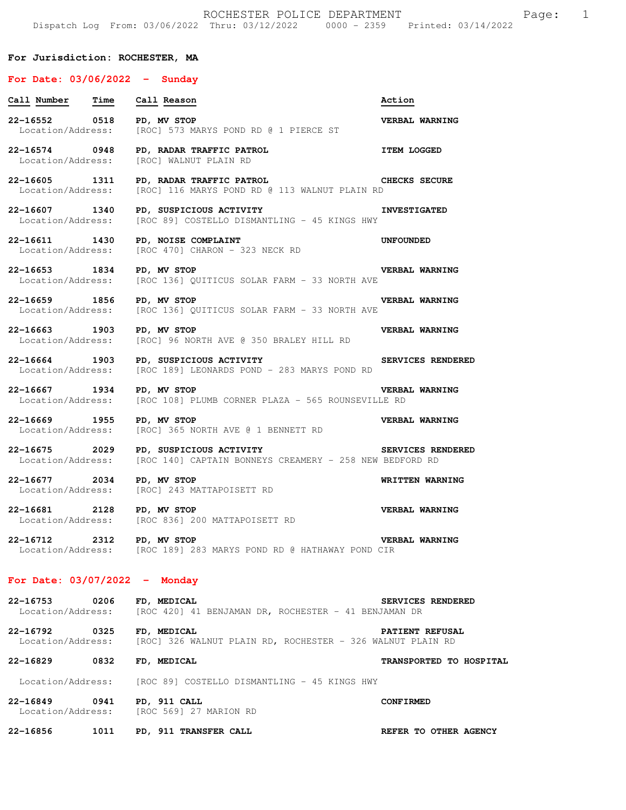## **For Jurisdiction: ROCHESTER, MA**

### **For Date: 03/06/2022 - Sunday**

Location/Address: [ROC 569] 27 MARION RD

| Call Number Time                   |      | Call Reason                                                                                                            | Action                  |
|------------------------------------|------|------------------------------------------------------------------------------------------------------------------------|-------------------------|
| 22-16552 0518<br>Location/Address: |      | PD, MV STOP<br>[ROC] 573 MARYS POND RD @ 1 PIERCE ST                                                                   | <b>VERBAL WARNING</b>   |
| 22-16574 0948<br>Location/Address: |      | PD, RADAR TRAFFIC PATROL<br>[ROC] WALNUT PLAIN RD                                                                      | <b>ITEM LOGGED</b>      |
| 22-16605 1311<br>Location/Address: |      | PD, RADAR TRAFFIC PATROL CHECKS SECURE<br>[ROC] 116 MARYS POND RD @ 113 WALNUT PLAIN RD                                |                         |
| 22-16607 1340<br>Location/Address: |      | PD, SUSPICIOUS ACTIVITY<br>[ROC 89] COSTELLO DISMANTLING - 45 KINGS HWY                                                | <b>INVESTIGATED</b>     |
| 22-16611 1430<br>Location/Address: |      | PD, NOISE COMPLAINT<br>[ROC 470] CHARON - 323 NECK RD                                                                  | UNFOUNDED               |
| 22-16653 1834                      |      | PD, MV STOP<br>Location/Address: [ROC 136] QUITICUS SOLAR FARM - 33 NORTH AVE                                          | <b>VERBAL WARNING</b>   |
| 22-16659 1856<br>Location/Address: |      | PD, MV STOP<br>[ROC 136] QUITICUS SOLAR FARM - 33 NORTH AVE                                                            | <b>VERBAL WARNING</b>   |
| 22-16663 1903                      |      | PD, MV STOP<br>Location/Address: [ROC] 96 NORTH AVE @ 350 BRALEY HILL RD                                               | <b>VERBAL WARNING</b>   |
| 22-16664 1903                      |      | SERVICES RENDERED<br>PD, SUSPICIOUS ACTIVITY<br>Location/Address: [ROC 189] LEONARDS POND - 283 MARYS POND RD          |                         |
| 22-16667 1934                      |      | PD, MV STOP<br>Location/Address: [ROC 108] PLUMB CORNER PLAZA - 565 ROUNSEVILLE RD                                     | <b>VERBAL WARNING</b>   |
| 22-16669 1955<br>Location/Address: |      | PD, MV STOP<br>[ROC] 365 NORTH AVE @ 1 BENNETT RD                                                                      | <b>VERBAL WARNING</b>   |
| 22-16675 2029                      |      | PD, SUSPICIOUS ACTIVITY SERVICES RENDERED<br>Location/Address: [ROC 140] CAPTAIN BONNEYS CREAMERY - 258 NEW BEDFORD RD |                         |
| 22-16677 2034<br>Location/Address: |      | PD, MV STOP<br>[ROC] 243 MATTAPOISETT RD                                                                               | WRITTEN WARNING         |
|                                    |      | 22-16681 2128 PD, MV STOP<br>Location/Address: [ROC 836] 200 MATTAPOISETT RD                                           | <b>VERBAL WARNING</b>   |
| 22-16712 2312 PD, MV STOP          |      | Location/Address: [ROC 189] 283 MARYS POND RD @ HATHAWAY POND CIR                                                      | VERBAL WARNING          |
| For Date: $03/07/2022 -$ Monday    |      |                                                                                                                        |                         |
| 22-16753<br>Location/Address:      | 0206 | FD, MEDICAL<br>[ROC 420] 41 BENJAMAN DR, ROCHESTER - 41 BENJAMAN DR                                                    | SERVICES RENDERED       |
| 22-16792 0325                      |      | <b>FD, MEDICAL</b><br>Location/Address: [ROC] 326 WALNUT PLAIN RD, ROCHESTER - 326 WALNUT PLAIN RD                     | <b>PATIENT REFUSAL</b>  |
| 22-16829 0832 FD, MEDICAL          |      |                                                                                                                        | TRANSPORTED TO HOSPITAL |
|                                    |      | Location/Address: [ROC 89] COSTELLO DISMANTLING - 45 KINGS HWY                                                         |                         |
| 22-16849                           |      | 0941 PD, 911 CALL                                                                                                      | <b>CONFIRMED</b>        |

**22-16856 1011 PD, 911 TRANSFER CALL REFER TO OTHER AGENCY**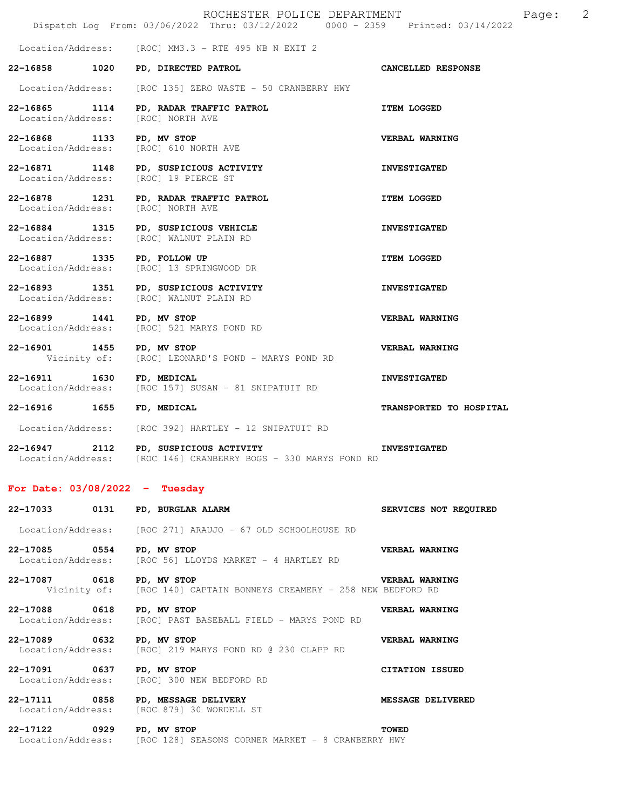|                                                | ROCHESTER POLICE DEPARTMENT<br>Dispatch Log From: 03/06/2022 Thru: 03/12/2022 0000 - 2359 Printed: 03/14/2022 |                         | 2<br>Page: |
|------------------------------------------------|---------------------------------------------------------------------------------------------------------------|-------------------------|------------|
|                                                | Location/Address: [ROC] MM3.3 - RTE 495 NB N EXIT 2                                                           |                         |            |
| 22-16858 1020                                  | PD, DIRECTED PATROL                                                                                           | CANCELLED RESPONSE      |            |
| Location/Address:                              | [ROC 135] ZERO WASTE - 50 CRANBERRY HWY                                                                       |                         |            |
| 22-16865 1114<br>Location/Address:             | PD, RADAR TRAFFIC PATROL<br>[ROC] NORTH AVE                                                                   | <b>ITEM LOGGED</b>      |            |
| 22-16868 1133<br>Location/Address:             | PD, MV STOP<br>[ROC] 610 NORTH AVE                                                                            | VERBAL WARNING          |            |
| 22-16871 1148<br>Location/Address:             | PD, SUSPICIOUS ACTIVITY<br>[ROC] 19 PIERCE ST                                                                 | <b>INVESTIGATED</b>     |            |
| 22-16878 1231<br>Location/Address:             | PD, RADAR TRAFFIC PATROL<br>[ROC] NORTH AVE                                                                   | <b>ITEM LOGGED</b>      |            |
| Location/Address:                              | 22-16884 1315 PD, SUSPICIOUS VEHICLE<br>[ROC] WALNUT PLAIN RD                                                 | <b>INVESTIGATED</b>     |            |
| 22-16887 1335 PD, FOLLOW UP                    | Location/Address: [ROC] 13 SPRINGWOOD DR                                                                      | <b>ITEM LOGGED</b>      |            |
| Location/Address:                              | 22-16893 1351 PD, SUSPICIOUS ACTIVITY<br>[ROC] WALNUT PLAIN RD                                                | <b>INVESTIGATED</b>     |            |
| 22-16899 1441 PD, MV STOP<br>Location/Address: | [ROC] 521 MARYS POND RD                                                                                       | VERBAL WARNING          |            |
| 22-16901 1455<br>Vicinity of:                  | PD, MV STOP<br>[ROC] LEONARD'S POND - MARYS POND RD                                                           | VERBAL WARNING          |            |
| 22-16911 1630<br>Location/Address:             | FD, MEDICAL<br>[ROC 157] SUSAN - 81 SNIPATUIT RD                                                              | <b>INVESTIGATED</b>     |            |
| 22-16916 1655                                  | FD, MEDICAL                                                                                                   | TRANSPORTED TO HOSPITAL |            |
|                                                | Location/Address: [ROC 392] HARTLEY - 12 SNIPATUIT RD                                                         |                         |            |

**22-16947 2112 PD, SUSPICIOUS ACTIVITY INVESTIGATED**  Location/Address: [ROC 146] CRANBERRY BOGS - 330 MARYS POND RD

# **For Date: 03/08/2022 - Tuesday**

| 22-17033 0131 PD, BURGLAR ALARM |                                                                                     | SERVICES NOT REQUIRED  |
|---------------------------------|-------------------------------------------------------------------------------------|------------------------|
|                                 | Location/Address: [ROC 271] ARAUJO - 67 OLD SCHOOLHOUSE RD                          |                        |
| 22-17085 0554 PD, MV STOP       | Location/Address: [ROC 56] LLOYDS MARKET - 4 HARTLEY RD                             | <b>VERBAL WARNING</b>  |
| 22-17087 0618                   | PD, MV STOP<br>Vicinity of: [ROC 140] CAPTAIN BONNEYS CREAMERY - 258 NEW BEDFORD RD | <b>VERBAL WARNING</b>  |
| 22-17088 0618 PD, MV STOP       | Location/Address: [ROC] PAST BASEBALL FIELD - MARYS POND RD                         | VERBAL WARNING         |
| 22-17089 0632                   | PD, MV STOP<br>Location/Address: [ROC] 219 MARYS POND RD @ 230 CLAPP RD             | VERBAL WARNING         |
| 22-17091 0637 PD, MV STOP       | Location/Address: [ROC] 300 NEW BEDFORD RD                                          | <b>CITATION ISSUED</b> |
| 22-17111 0858                   | PD, MESSAGE DELIVERY<br>Location/Address: [ROC 879] 30 WORDELL ST                   | MESSAGE DELIVERED      |
| 22-17122 0929                   | PD, MV STOP<br>Location/Address: [ROC 128] SEASONS CORNER MARKET - 8 CRANBERRY HWY  | <b>TOWED</b>           |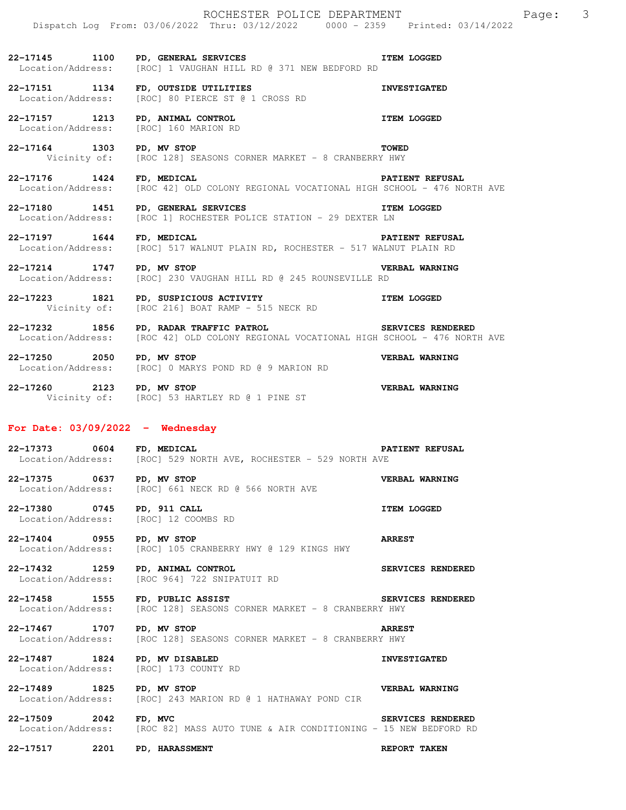|                                                        | ROCHESTER POLICE DEPARTMENT<br>Dispatch Log From: 03/06/2022 Thru: 03/12/2022 0000 - 2359 Printed: 03/14/2022                   | $\overline{\mathbf{3}}$<br>Page: |
|--------------------------------------------------------|---------------------------------------------------------------------------------------------------------------------------------|----------------------------------|
| 22-17145 1100                                          | PD, GENERAL SERVICES<br>Location/Address: [ROC] 1 VAUGHAN HILL RD @ 371 NEW BEDFORD RD                                          | <b>ITEM LOGGED</b>               |
|                                                        | 22-17151 1134 FD, OUTSIDE UTILITIES<br>Location/Address: [ROC] 80 PIERCE ST @ 1 CROSS RD                                        | <b>INVESTIGATED</b>              |
| 22-17157 1213<br>Location/Address: [ROC] 160 MARION RD | PD, ANIMAL CONTROL                                                                                                              | <b>ITEM LOGGED</b>               |
| 22-17164 1303                                          | PD, MV STOP<br>Vicinity of: [ROC 128] SEASONS CORNER MARKET - 8 CRANBERRY HWY                                                   | <b>TOWED</b>                     |
| 22-17176 1424 FD, MEDICAL                              | Location/Address: [ROC 42] OLD COLONY REGIONAL VOCATIONAL HIGH SCHOOL - 476 NORTH AVE                                           | PATIENT REFUSAL                  |
| 22-17180 1451 PD, GENERAL SERVICES                     | <b>THEM LOGGED</b><br>Location/Address: [ROC 1] ROCHESTER POLICE STATION - 29 DEXTER LN                                         |                                  |
| 22-17197 1644                                          | FD, MEDICAL<br>Location/Address: [ROC] 517 WALNUT PLAIN RD, ROCHESTER - 517 WALNUT PLAIN RD                                     | <b>PATIENT REFUSAL</b>           |
| 22-17214 1747                                          | PD, MV STOP<br>Location/Address: [ROC] 230 VAUGHAN HILL RD @ 245 ROUNSEVILLE RD                                                 | VERBAL WARNING                   |
|                                                        | 22-17223 1821 PD, SUSPICIOUS ACTIVITY TEM LOGGED<br>Vicinity of: [ROC 216] BOAT RAMP - 515 NECK RD                              |                                  |
|                                                        | 22-17232 1856 PD, RADAR TRAFFIC PATROL<br>Location/Address: [ROC 42] OLD COLONY REGIONAL VOCATIONAL HIGH SCHOOL - 476 NORTH AVE | SERVICES RENDERED                |
| 22-17250 2050                                          | PD, MV STOP<br>Location/Address: [ROC] 0 MARYS POND RD @ 9 MARION RD                                                            | VERBAL WARNING                   |
| 22-17260 2123 PD, MV STOP                              | Vicinity of: [ROC] 53 HARTLEY RD @ 1 PINE ST                                                                                    | <b>VERBAL WARNING</b>            |
| For Date: $03/09/2022 -$ Wednesday                     |                                                                                                                                 |                                  |
| 22-17373 0604                                          | FD, MEDICAL<br>Location/Address: [ROC] 529 NORTH AVE, ROCHESTER - 529 NORTH AVE                                                 | <b>PATIENT REFUSAL</b>           |
| 22-17375 0637 PD, MV STOP<br>Location/Address:         | [ROC] 661 NECK RD @ 566 NORTH AVE                                                                                               | VERBAL WARNING                   |

**22-17380 0745 PD, 911 CALL ITEM LOGGED**  Location/Address: [ROC] 12 COOMBS RD

**22-17404 0955 PD, MV STOP ARREST**  Location/Address: [ROC] 105 CRANBERRY HWY @ 129 KINGS HWY

**22-17432 1259 PD, ANIMAL CONTROL SERVICES RENDERED**  Location/Address: [ROC 964] 722 SNIPATUIT RD

**22-17458 1555 FD, PUBLIC ASSIST SERVICES RENDERED**<br>Location/Address: [ROC 128] SEASONS CORNER MARKET - 8 CRANBERRY HWY [ROC 128] SEASONS CORNER MARKET - 8 CRANBERRY HWY

**22-17467 1707 PD, MV STOP ARREST**  Location/Address: [ROC 128] SEASONS CORNER MARKET - 8 CRANBERRY HWY

**22-17487 1824 PD, MV DISABLED INVESTIGATED**  Location/Address: [ROC] 173 COUNTY RD

**22-17489 1825 PD, MV STOP VERBAL WARNING**  Location/Address: [ROC] 243 MARION RD @ 1 HATHAWAY POND CIR

**22-17509 2042 FD, MVC SERVICES RENDERED**  Location/Address: [ROC 82] MASS AUTO TUNE & AIR CONDITIONING - 15 NEW BEDFORD RD

**22-17517 2201 PD, HARASSMENT REPORT TAKEN**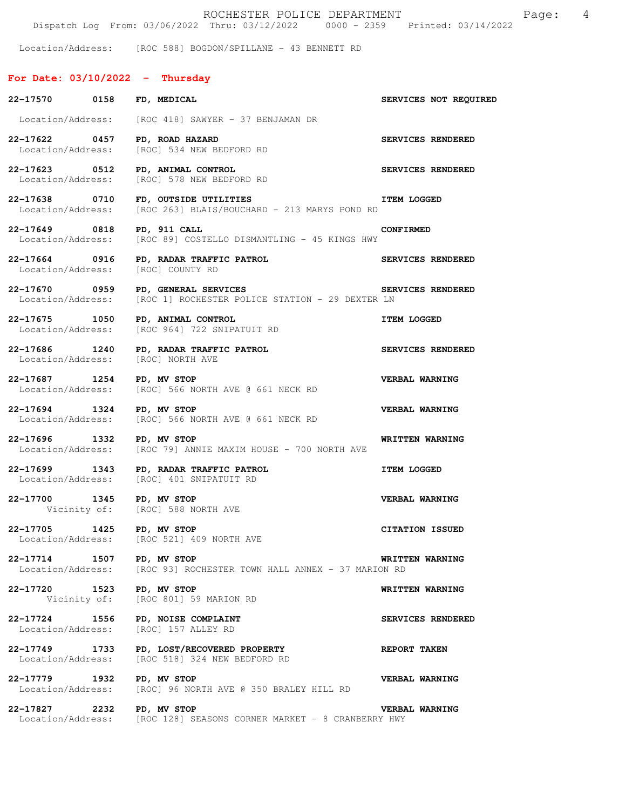|                                                    | ROCHESTER POLICE DEPARTMENT<br>Dispatch Log From: 03/06/2022 Thru: 03/12/2022 0000 - 2359 Printed: 03/14/2022  | $\overline{4}$<br>Page: |
|----------------------------------------------------|----------------------------------------------------------------------------------------------------------------|-------------------------|
|                                                    | Location/Address: [ROC 588] BOGDON/SPILLANE - 43 BENNETT RD                                                    |                         |
| For Date: $03/10/2022 -$ Thursday                  |                                                                                                                |                         |
| 22-17570 0158                                      | FD, MEDICAL                                                                                                    | SERVICES NOT REQUIRED   |
|                                                    | Location/Address: [ROC 418] SAWYER - 37 BENJAMAN DR                                                            |                         |
| 22-17622 0457                                      | PD, ROAD HAZARD<br>Location/Address: [ROC] 534 NEW BEDFORD RD                                                  | SERVICES RENDERED       |
| 22-17623 0512<br>Location/Address:                 | PD, ANIMAL CONTROL<br>[ROC] 578 NEW BEDFORD RD                                                                 | SERVICES RENDERED       |
| 22-17638 0710                                      | FD, OUTSIDE UTILITIES<br>Location/Address: [ROC 263] BLAIS/BOUCHARD - 213 MARYS POND RD                        | <b>ITEM LOGGED</b>      |
| 22-17649 0818<br>Location/Address:                 | PD, 911 CALL<br>[ROC 89] COSTELLO DISMANTLING - 45 KINGS HWY                                                   | <b>CONFIRMED</b>        |
| 22-17664 0916<br>Location/Address:                 | PD, RADAR TRAFFIC PATROL<br>[ROC] COUNTY RD                                                                    | SERVICES RENDERED       |
| 22-17670 0959                                      | SERVICES RENDERED<br>PD, GENERAL SERVICES<br>Location/Address: [ROC 1] ROCHESTER POLICE STATION - 29 DEXTER LN |                         |
| 22-17675 1050<br>Location/Address:                 | PD, ANIMAL CONTROL<br>[ROC 964] 722 SNIPATUIT RD                                                               | <b>ITEM LOGGED</b>      |
| 22-17686 1240<br>Location/Address: [ROC] NORTH AVE | PD, RADAR TRAFFIC PATROL                                                                                       | SERVICES RENDERED       |
| 22-17687 1254                                      | PD, MV STOP<br>Location/Address: [ROC] 566 NORTH AVE @ 661 NECK RD                                             | VERBAL WARNING          |
| 22-17694 1324                                      | PD, MV STOP<br>Location/Address: [ROC] 566 NORTH AVE @ 661 NECK RD                                             | <b>VERBAL WARNING</b>   |
| 22-17696 1332 PD, MV STOP                          | Location/Address: [ROC 79] ANNIE MAXIM HOUSE - 700 NORTH AVE                                                   | WRITTEN WARNING         |
|                                                    | 22-17699 1343 PD, RADAR TRAFFIC PATROL<br>Location/Address: [ROC] 401 SNIPATUIT RD                             | <b>ITEM LOGGED</b>      |
| 22-17700 1345                                      | PD, MV STOP<br>Vicinity of: [ROC] 588 NORTH AVE                                                                | VERBAL WARNING          |
| 22-17705 1425<br>Location/Address:                 | PD, MV STOP<br>[ROC 521] 409 NORTH AVE                                                                         | CITATION ISSUED         |
| 22-17714 1507<br>Location/Address:                 | PD, MV STOP<br>[ROC 93] ROCHESTER TOWN HALL ANNEX - 37 MARION RD                                               | WRITTEN WARNING         |
| 22–17720 1523                                      | PD, MV STOP<br>Vicinity of: [ROC 801] 59 MARION RD                                                             | WRITTEN WARNING         |
| 22-17724 1556<br>Location/Address:                 | PD, NOISE COMPLAINT<br>[ROC] 157 ALLEY RD                                                                      | SERVICES RENDERED       |
| 22–17749 1733<br>Location/Address:                 | PD, LOST/RECOVERED PROPERTY<br>[ROC 518] 324 NEW BEDFORD RD                                                    | <b>REPORT TAKEN</b>     |
| 22-17779 1932<br>Location/Address:                 | PD, MV STOP<br>[ROC] 96 NORTH AVE @ 350 BRALEY HILL RD                                                         | <b>VERBAL WARNING</b>   |
| 22-17827<br>2232<br>Location/Address:              | PD, MV STOP<br>[ROC 128] SEASONS CORNER MARKET - 8 CRANBERRY HWY                                               | <b>VERBAL WARNING</b>   |